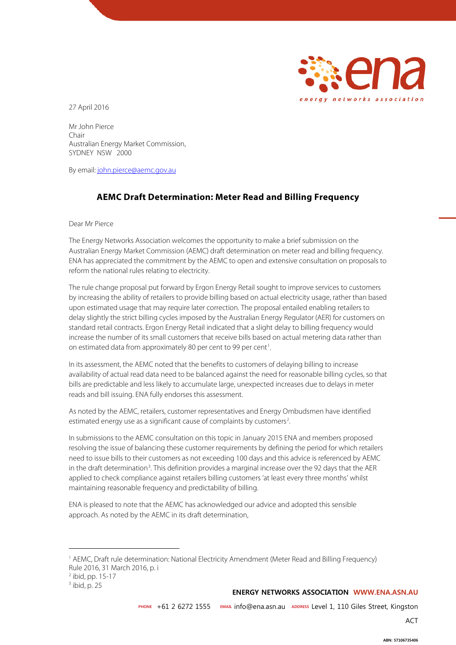

27 April 2016

Mr John Pierce Chair Australian Energy Market Commission, SYDNEY NSW 2000

By email: [john.pierce@aemc.gov.au](mailto:john.pierce@aemc.gov.au)

## **AEMC Draft Determination: Meter Read and Billing Frequency**

Dear Mr Pierce

The Energy Networks Association welcomes the opportunity to make a brief submission on the Australian Energy Market Commission (AEMC) draft determination on meter read and billing frequency. ENA has appreciated the commitment by the AEMC to open and extensive consultation on proposals to reform the national rules relating to electricity.

The rule change proposal put forward by Ergon Energy Retail sought to improve services to customers by increasing the ability of retailers to provide billing based on actual electricity usage, rather than based upon estimated usage that may require later correction. The proposal entailed enabling retailers to delay slightly the strict billing cycles imposed by the Australian Energy Regulator (AER) for customers on standard retail contracts. Ergon Energy Retail indicated that a slight delay to billing frequency would increase the number of its small customers that receive bills based on actual metering data rather than on estimated data from approximately 80 per cent to 99 per cent<sup>[1](#page-0-0)</sup>. .

In its assessment, the AEMC noted that the benefits to customers of delaying billing to increase availability of actual read data need to be balanced against the need for reasonable billing cycles, so that bills are predictable and less likely to accumulate large, unexpected increases due to delays in meter reads and bill issuing. ENA fully endorses this assessment.

As noted by the AEMC, retailers, customer representatives and Energy Ombudsmen have identified estimated energy use as a significant cause of complaints by customers<sup>[2](#page-0-1)</sup>. .

In submissions to the AEMC consultation on this topic in January 2015 ENA and members proposed resolving the issue of balancing these customer requirements by defining the period for which retailers need to issue bills to their customers as not exceeding 100 days and this advice is referenced by AEMC in the draft determination<sup>[3](#page-0-2)</sup>. This definition provides a marginal increase over the 92 days that the AER applied to check compliance against retailers billing customers 'at least every three months' whilst maintaining reasonable frequency and predictability of billing.

ENA is pleased to note that the AEMC has acknowledged our advice and adopted this sensible approach. As noted by the AEMC in its draft determination,

 $\overline{a}$ 

**ENERGY NETWORKS ASSOCIATION WWW.ENA.ASN.AU** 

**PHONE** +61 2 6272 1555 **EMAIL** info@ena.asn.au **ADDRESS** Level 1, 110 Giles Street, Kingston

<span id="page-0-0"></span><sup>1</sup> AEMC, Draft rule determination: National Electricity Amendment (Meter Read and Billing Frequency) Rule 2016, 31 March 2016, p. i

<span id="page-0-1"></span> $2$  ibid, pp. 15-17

<span id="page-0-2"></span> $3$  ibid, p. 25